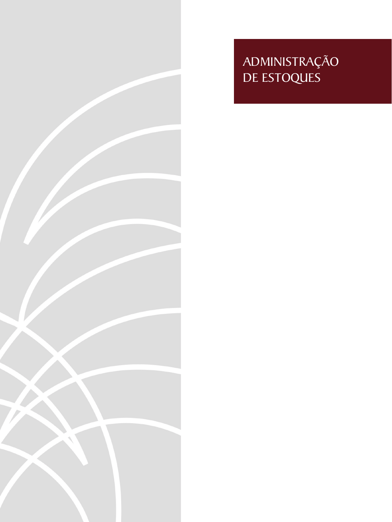

# Administração DE ESTOQUES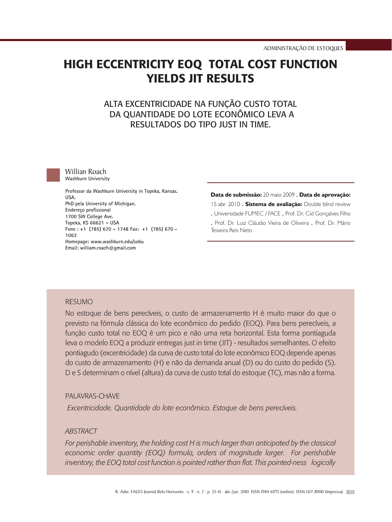Willian Roach

## HIGH ECCENTRICITY EOQ TOTAL COST FUNCTION YIELDS JIT RESULTs

## Alta excentricidade na função custo total da quantidade do lote econômico leva a resultados do tipo Just in Time.



Willian Roach Washburn University

Professor da Washburn University in Topeka, Kansas. USA. PhD pela University of Michigan. Endereço profissional 1700 SW College Ave. Topeka, KS 66621 – USA Fone : +1 (785) 670 – 1748 Fax: +1 (785) 670 - 1063 Homepage: www.washburn.edu/sobu Email: william.roach@gmail.com

#### **Data de submissão:** 20 maio 2009 . **Data de aprovação:**

15 abr. 2010 . **Sistema de avaliação:** Double blind review

- . Universidade FUMEC / FACE . Prof. Dr. Cid Gonçalves Filho
- . Prof. Dr. Luiz Cláudio Vieira de Oliveira . Prof. Dr. Mário Teixeira Reis Neto

## RESUMO

No estoque de bens perecíveis, o custo de armazenamento H é muito maior do que o previsto na fórmula clássica do lote econômico do pedido (EOQ). Para bens perecíveis, a função custo total no EOQ é um pico e não uma reta horizontal. Esta forma pontiaguda leva o modelo EOQ a produzir entregas just in time (JIT) - resultados semelhantes. O efeito pontiagudo (excentricidade) da curva de custo total do lote econômico EOQ depende apenas do custo de armazenamento (H) e não da demanda anual (D) ou do custo do pedido (S). D e S determinam o nível (altura) da curva de custo total do estoque (TC), mas não a forma.

## PALAVRAS-CHAVE

 *Excentricidade. Quantidade do lote econômico. Estoque de bens perecíveis.*

## *ABSTRACT*

*For perishable inventory, the holding cost H is much larger than anticipated by the classical economic order quantity (EOQ) formula, orders of magnitude larger. For perishable inventory, the EOQ total cost function is pointed rather than flat. This pointed-ness logically*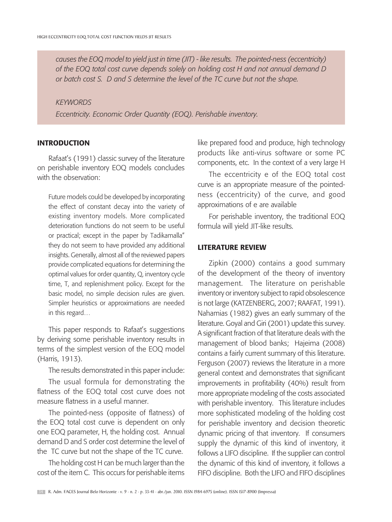*causes the EOQ model to yield just in time (JIT) - like results. The pointed-ness (eccentricity) of the EOQ total cost curve depends solely on holding cost H and not annual demand D or batch cost S. D and S determine the level of the TC curve but not the shape.* 

### *KEYWORDS*

*Eccentricity. Economic Order Quantity (EOQ). Perishable inventory.*

## **INTRODUCTION**

Rafaat's (1991) classic survey of the literature on perishable inventory EOQ models concludes with the observation:

Future models could be developed by incorporating the effect of constant decay into the variety of existing inventory models. More complicated deterioration functions do not seem to be useful or practical; except in the paper by Tadikamalla" they do not seem to have provided any additional insights. Generally, almost all of the reviewed papers provide complicated equations for determining the optimal values for order quantity, Q, inventory cycle time, T, and replenishment policy. Except for the basic model, no simple decision rules are given. Simpler heuristics or approximations are needed in this regard…

This paper responds to Rafaat's suggestions by deriving some perishable inventory results in terms of the simplest version of the EOQ model (Harris, 1913).

The results demonstrated in this paper include:

The usual formula for demonstrating the flatness of the EOQ total cost curve does not measure flatness in a useful manner.

The pointed-ness (opposite of flatness) of the EOQ total cost curve is dependent on only one EOQ parameter, H, the holding cost. Annual demand D and S order cost determine the level of the TC curve but not the shape of the TC curve.

The holding cost H can be much larger than the cost of the item C. This occurs for perishable items like prepared food and produce, high technology products like anti-virus software or some PC components, etc. In the context of a very large H

The eccentricity e of the EOQ total cost curve is an appropriate measure of the pointedness (eccentricity) of the curve, and good approximations of e are available

For perishable inventory, the traditional EOQ formula will yield JIT-like results.

## Literature Review

Zipkin (2000) contains a good summary of the development of the theory of inventory management. The literature on perishable inventory or inventory subject to rapid obsolescence is not large (KATZENBERG, 2007; RAAFAT, 1991). Nahamias (1982) gives an early summary of the literature. Goyal and Giri (2001) update this survey. A significant fraction of that literature deals with the management of blood banks; Hajeima (2008) contains a fairly current summary of this literature. Ferguson (2007) reviews the literature in a more general context and demonstrates that significant improvements in profitability (40%) result from more appropriate modeling of the costs associated with perishable inventory. This literature includes more sophisticated modeling of the holding cost for perishable inventory and decision theoretic dynamic pricing of that inventory. If consumers supply the dynamic of this kind of inventory, it follows a LIFO discipline. If the supplier can control the dynamic of this kind of inventory, it follows a FIFO discipline. Both the LIFO and FIFO disciplines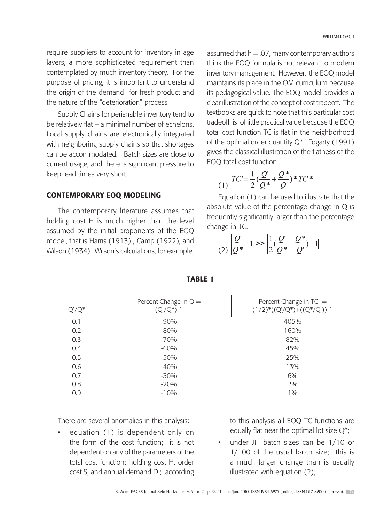require suppliers to account for inventory in age layers, a more sophisticated requirement than contemplated by much inventory theory. For the purpose of pricing, it is important to understand the origin of the demand for fresh product and the nature of the "deterioration" process.

Supply Chains for perishable inventory tend to be relatively flat – a minimal number of echelons. Local supply chains are electronically integrated with neighboring supply chains so that shortages can be accommodated. Batch sizes are close to current usage, and there is significant pressure to keep lead times very short.

## Contemporary EOQ Modeling

The contemporary literature assumes that holding cost H is much higher than the level assumed by the initial proponents of the EOQ model, that is Harris (1913) , Camp (1922), and Wilson (1934). Wilson's calculations, for example,

assumed that  $h = 0.07$ , many contemporary authors think the EOQ formula is not relevant to modern inventory management. However, the EOQ model maintains its place in the OM curriculum because its pedagogical value. The EOQ model provides a clear illustration of the concept of cost tradeoff. The textbooks are quick to note that this particular cost tradeoff is of little practical value because the EOQ total cost function TC is flat in the neighborhood of the optimal order quantity Q\*. Fogarty (1991) gives the classical illustration of the flatness of the EOQ total cost function.

$$
(1) \quad TC' = \frac{1}{2}(\frac{Q'}{Q^*} + \frac{Q^*}{Q'})^*TC^*
$$

Equation (1) can be used to illustrate that the absolute value of the percentage change in Q is frequently significantly larger than the percentage change in TC.

$$
(2)\left|\frac{Q'}{Q^*} - 1\right| >> \left|\frac{1}{2}(\frac{Q'}{Q^*} + \frac{Q^*}{Q'}) - 1\right|
$$

| $Q'/Q^*$ | Percent Change in $Q =$<br>$(Q'/Q^*)-1$ | Percent Change in $TC =$<br>$(1/2)$ <sup>*</sup> $((Q'/Q^*)+( (Q^*/Q'))-1)$ |
|----------|-----------------------------------------|-----------------------------------------------------------------------------|
| 0.1      | $-90%$                                  | 405%                                                                        |
| 0.2      | $-80%$                                  | 160%                                                                        |
| 0.3      | $-70%$                                  | 82%                                                                         |
| 0.4      | $-60%$                                  | 45%                                                                         |
| 0.5      | $-50%$                                  | 25%                                                                         |
| 0.6      | $-40%$                                  | 13%                                                                         |
| 0.7      | $-30%$                                  | 6%                                                                          |
| 0.8      | $-20%$                                  | 2%                                                                          |
| 0.9      | $-10%$                                  | $1\%$                                                                       |

TABLE 1

There are several anomalies in this analysis:

equation (1) is dependent only on the form of the cost function; it is not dependent on any of the parameters of the total cost function: holding cost H, order cost S, and annual demand D.; according to this analysis all EOQ TC functions are equally flat near the optimal lot size  $Q^*$ ;

• under JIT batch sizes can be 1/10 or 1/100 of the usual batch size; this is a much larger change than is usually illustrated with equation (2);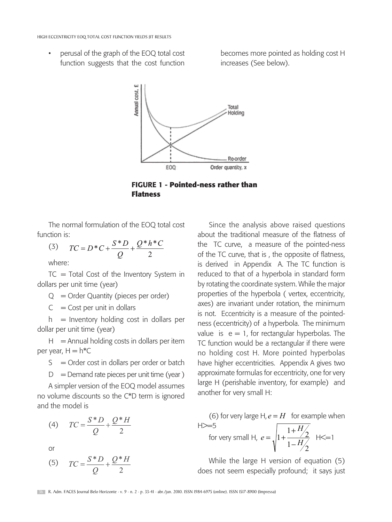• perusal of the graph of the EOQ total cost function suggests that the cost function becomes more pointed as holding cost H increases (See below).



 FIGURE 1 - **Pointed-ness rather than Flatness**

The normal formulation of the EOQ total cost function is:

 $TC = D*C + \frac{S*D}{O} + \frac{Q*h*C}{2}$ (3) where:

 $TC = Total Cost of the Inventory System in$ dollars per unit time (year)

 $Q =$  Order Quantity (pieces per order)

 $C =$  Cost per unit in dollars

 $h =$  Inventory holding cost in dollars per dollar per unit time (year)

 $H =$  Annual holding costs in dollars per item per year,  $H = h^*C$ 

 $S =$  Order cost in dollars per order or batch

 $D =$  Demand rate pieces per unit time (year)

A simpler version of the EOQ model assumes no volume discounts so the C\*D term is ignored and the model is

(4) 
$$
TC = \frac{S*D}{Q} + \frac{Q*H}{2}
$$

or

$$
(5) \qquad TC = \frac{S*D}{Q} + \frac{Q*H}{2}
$$

Since the analysis above raised questions about the traditional measure of the flatness of the TC curve, a measure of the pointed-ness of the TC curve, that is , the opposite of flatness, is derived in Appendix A. The TC function is reduced to that of a hyperbola in standard form by rotating the coordinate system. While the major properties of the hyperbola ( vertex, eccentricity, axes) are invariant under rotation, the minimum is not. Eccentricity is a measure of the pointedness (eccentricity) of a hyperbola. The minimum value is  $e = 1$ , for rectangular hyperbolas. The TC function would be a rectangular if there were no holding cost H. More pointed hyperbolas have higher eccentricities. Appendix A gives two approximate formulas for eccentricity, one for very large H (perishable inventory, for example) and another for very small H:

(6) for very large H,  $e = H$  for example when  $H \geq 5$ for very small H,  $1 - \frac{H}{2}$  $rac{1+H/2}{2}$  $1 + \frac{1}{1 - H}$ *H*  $e = \sqrt{1 + \frac{1}{1 - \dots}}$  $=\sqrt{1+\frac{1+H}{2}}$  H  $\leq$  1

While the large H version of equation (5) does not seem especially profound; it says just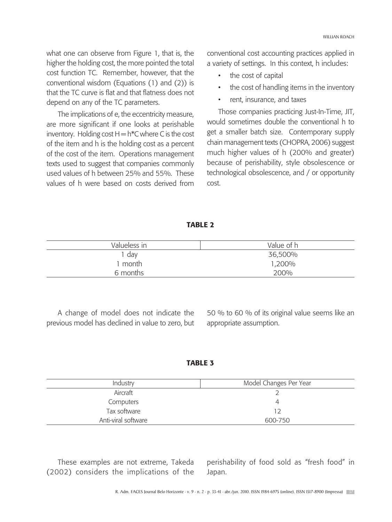what one can observe from Figure 1, that is, the higher the holding cost, the more pointed the total cost function TC. Remember, however, that the conventional wisdom (Equations (1) and (2)) is that the TC curve is flat and that flatness does not depend on any of the TC parameters.

The implications of e, the eccentricity measure, are more significant if one looks at perishable inventory. Holding cost  $H = h^*C$  where C is the cost of the item and h is the holding cost as a percent of the cost of the item. Operations management texts used to suggest that companies commonly used values of h between 25% and 55%. These values of h were based on costs derived from conventional cost accounting practices applied in a variety of settings. In this context, h includes:

- the cost of capital
- the cost of handling items in the inventory
- rent, insurance, and taxes

Those companies practicing Just-In-Time, JIT, would sometimes double the conventional h to get a smaller batch size. Contemporary supply chain management texts (CHOPRA, 2006) suggest much higher values of h (200% and greater) because of perishability, style obsolescence or technological obsolescence, and / or opportunity cost.

### TABLE 2

| Valueless in | Value of h |  |  |
|--------------|------------|--|--|
| day          | 36,500%    |  |  |
| month        | 1,200%     |  |  |
| 6 months     | 200%       |  |  |

A change of model does not indicate the previous model has declined in value to zero, but

50 % to 60 % of its original value seems like an appropriate assumption.

TABLE 3

| Industry            | Model Changes Per Year |  |  |
|---------------------|------------------------|--|--|
| Aircraft            |                        |  |  |
| Computers           | 4                      |  |  |
| Tax software        | 12                     |  |  |
| Anti-viral software | 600-750                |  |  |

These examples are not extreme, Takeda (2002) considers the implications of the perishability of food sold as "fresh food" in Japan.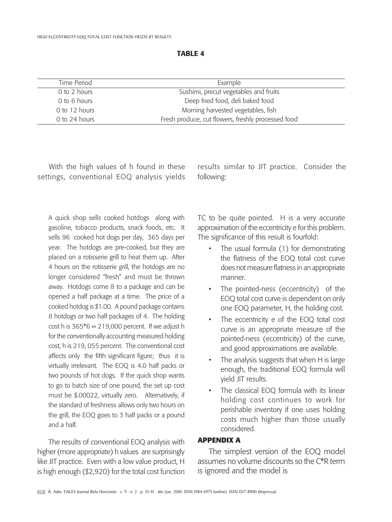| Time Period   | Example                                            |  |
|---------------|----------------------------------------------------|--|
| 0 to 2 hours  | Sushimi, precut vegetables and fruits              |  |
| 0 to 6 hours  | Deep fried food, deli baked food                   |  |
| 0 to 12 hours | Morning harvested vegetables, fish                 |  |
| 0 to 24 hours | Fresh produce, cut flowers, freshly processed food |  |
|               |                                                    |  |

## TABLE 4

With the high values of h found in these settings, conventional EOQ analysis yields

results similar to JIT practice. Consider the following:

A quick shop sells cooked hotdogs along with gasoline, tobacco products, snack foods, etc. It sells 96 cooked hot dogs per day, 365 days per year. The hotdogs are pre-cooked, but they are placed on a rotisserie grill to heat them up. After 4 hours on the rotisserie grill, the hotdogs are no longer considered "fresh" and must be thrown away. Hotdogs come 8 to a package and can be opened a half package at a time. The price of a cooked hotdog is \$1.00. A pound package contains 8 hotdogs or two half packages of 4. The holding cost h is  $365*6 = 219,000$  percent. If we adjust h for the conventionally accounting measured holding cost, h is 219, 055 percent. The conventional cost affects only the fifth significant figure; thus it is virtually irrelevant. The EOQ is 4.0 half packs or two pounds of hot dogs. If the quick shop wants to go to batch size of one pound, the set up cost must be \$.00022, virtually zero. Alternatively, if the standard of freshness allows only two hours on the grill, the EOQ goes to 3 half packs or a pound and a half.

The results of conventional EOQ analysis with higher (more appropriate) h values are surprisingly like JIT practice. Even with a low value product, H is high enough (\$2,920) for the total cost function TC to be quite pointed. H is a very accurate approximation of the eccentricity e for this problem. The significance of this result is fourfold:

- The usual formula (1) for demonstrating the flatness of the EOQ total cost curve does not measure flatness in an appropriate manner.
- The pointed-ness (eccentricity) of the EOQ total cost curve is dependent on only one EOQ parameter, H, the holding cost.
- The eccentricity e of the EOQ total cost curve is an appropriate measure of the pointed-ness (eccentricity) of the curve, and good approximations are available.
- The analysis suggests that when H is large enough, the traditional EOQ formula will yield JIT results.
- The classical EOO formula with its linear holding cost continues to work for perishable inventory if one uses holding costs much higher than those usually considered.

## **APPENDIX A**

The simplest version of the EOQ model assumes no volume discounts so the C\*R term is ignored and the model is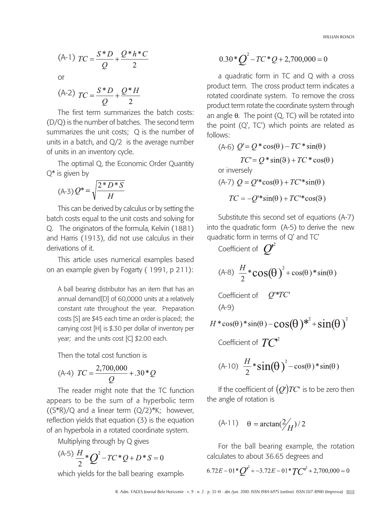WILLIAN ROACH

(A-1) 
$$
TC = \frac{S*D}{Q} + \frac{Q*h*C}{2}
$$
or

$$
(A-2) TC = \frac{S*D}{Q} + \frac{Q*H}{2}
$$

The first term summarizes the batch costs: (D/Q) is the number of batches. The second term summarizes the unit costs; Q is the number of units in a batch, and  $Q/2$  is the average number of units in an inventory cycle.

The optimal Q, the Economic Order Quantity Q\* is given by

$$
(A-3) Q^* = \sqrt{\frac{2*D*S}{H}}
$$

This can be derived by calculus or by setting the batch costs equal to the unit costs and solving for Q. The originators of the formula, Kelvin (1881) and Harris (1913), did not use calculus in their derivations of it.

This article uses numerical examples based on an example given by Fogarty ( 1991, p 211):

A ball bearing distributor has an item that has an annual demand[D] of 60,0000 units at a relatively constant rate throughout the year. Preparation costs [S] are \$45 each time an order is placed; the carrying cost [H] is \$.30 per dollar of inventory per year; and the units cost [C] \$2.00 each.

Then the total cost function is

$$
(A-4) TC = \frac{2,700,000}{Q} + .30 \cdot Q
$$

The reader might note that the TC function appears to be the sum of a hyperbolic term  $((S*R)/Q$  and a linear term  $(Q/2)*K$ ; however, reflection yields that equation (3) is the equation of an hyperbola in a rotated coordinate system.

Multiplying through by Q gives

$$
^{(A-5)}\frac{H}{2}*Q^2 - TC*Q + D*S = 0
$$

which yields for the ball bearing example,

$$
0.30 \cdot Q^2 - TC \cdot Q + 2{,}700{,}000 = 0
$$

a quadratic form in TC and Q with a cross product term. The cross product term indicates a rotated coordinate system. To remove the cross product term rotate the coordinate system through an angle  $\theta$ . The point (O, TC) will be rotated into the point (Q', TC') which points are related as follows:

(A-6) 
$$
Q' = Q * cos(\theta) - TC * sin(\theta)
$$
  
\n $TC' = Q * sin(\theta) + TC * cos(\theta)$   
\nor inversely  
\n(A-7)  $Q = Q' * cos(\theta) + TC' * sin(\theta)$   
\n $TC = -Q' * sin(\theta) + TC' * cos(\theta)$ 

Substitute this second set of equations (A-7) into the quadratic form (A-5) to derive the new quadratic form in terms of Q' and TC'

Coefficient of  $Q^2$ 

(A-8) 
$$
\frac{H}{2} \cdot \cos(\theta)^2 + \cos(\theta) \cdot \sin(\theta)
$$
  
Coefficient of  $Q' \cdot \sin(\theta)$   
(A-9)

$$
H^*cos(\theta)*sin(\theta) - cos(\theta)*^2 + sin(\theta)^2
$$

Coefficient of  $TC^2$ 

$$
(A-10) \frac{H}{2} * sin(\theta)^2 - cos(\theta) * sin(\theta)
$$

If the coefficient of  $(Q<sup>i</sup>)TC<sup>i</sup>$  is to be zero then the angle of rotation is

(A-11) 
$$
\theta = \arctan(\frac{2}{H})/2
$$

For the ball bearing example, the rotation calculates to about 36.65 degrees and

$$
6.72E - 01 \cdot Q^{2} + 3.72E - 01 \cdot TC^{2} + 2,700,000 = 0
$$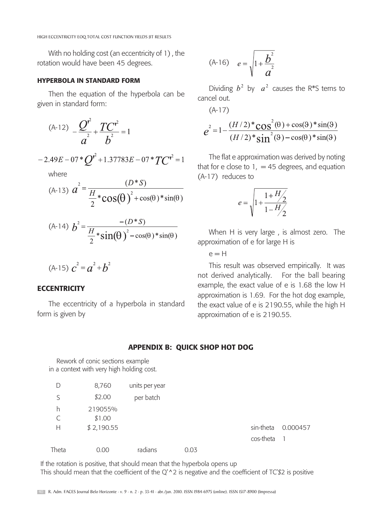With no holding cost (an eccentricity of 1) , the rotation would have been 45 degrees.

## HYPERBOLA IN STANDARD FORM

Then the equation of the hyperbola can be given in standard form:

(A-12) 
$$
-\frac{Q^{t^2}}{a^2} + \frac{TC^{t^2}}{b^2} = 1
$$
  
2.49E - 07 \*  $Q^{t^2}$  + 1.37783E - 07 \*  $TC^{t^2}$  = 1  
where  
(A-13) 
$$
a^2 = \frac{(D * S)}{\frac{H}{2} * \cos(\theta)^2 + \cos(\theta) * \sin(\theta)}
$$

(A-14) 
$$
b^2 = \frac{-(D * S)}{\frac{H}{2} * sin(\theta)^2 - cos(\theta) * sin(\theta)}
$$

(A-15) 
$$
c^2 = a^2 + b^2
$$

## **ECCENTRICITY**

The eccentricity of a hyperbola in standard form is given by

(A-16) 
$$
e = \sqrt{1 + \frac{b^2}{a^2}}
$$

Dividing  $b^2$  by  $a^2$  causes the R<sup>\*</sup>S terns to cancel out.

$$
e^{2} = 1 - \frac{(H/2)^{*}cos^{2}(\theta) + cos(\theta)^{*}sin(\theta)}{(H/2)^{*}sin^{2}(\theta) - cos(\theta)^{*}sin(\theta)}
$$

The flat e approximation was derived by noting that for e close to  $1, = 45$  degrees, and equation (A-17) reduces to

$$
e = \sqrt{1 + \frac{1 + H_2}{1 - H_2}}
$$

When H is very large , is almost zero. The approximation of e for large H is

 $e = H$ 

(A-17)

This result was observed empirically. It was not derived analytically. For the ball bearing example, the exact value of e is 1.68 the low H approximation is 1.69. For the hot dog example, the exact value of e is 2190.55, while the high H approximation of e is 2190.55.

## APPENDIX B: QUICK SHOP HOT DOG

Rework of conic sections example in a context with very high holding cost.

| D     | 8,760      | units per year |      |           |          |
|-------|------------|----------------|------|-----------|----------|
|       | \$2.00     | per batch      |      |           |          |
| h     | 219055%    |                |      |           |          |
|       | \$1.00     |                |      |           |          |
| Н     | \$2,190.55 |                |      | sin-theta | 0.000457 |
|       |            |                |      | cos-theta |          |
| Theta | 0.00       | radians        | 0.03 |           |          |

If the rotation is positive, that should mean that the hyperbola opens up This should mean that the coefficient of the  $Q'$  ^2 is negative and the coefficient of TC'\$2 is positive